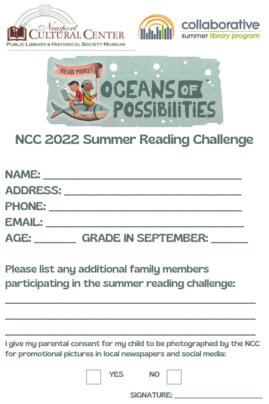





## NCC 2022 Summer Reading Challenge

NAME: ADDRESS: \_\_\_\_\_\_\_\_\_\_\_\_\_\_\_\_\_\_\_\_\_\_\_\_\_\_\_\_\_\_\_\_\_\_ PHONE: EMAIL: AGE: CRADE IN SEPTEMBER:

## Please list any additional family members

## participating in the summer reading challenge:

I give my parental consent for my child to be photographed by the NCC for promotional pictures in local newspapers and social media:

 $\Box$ 

 $\Box$ 

 $\Box$